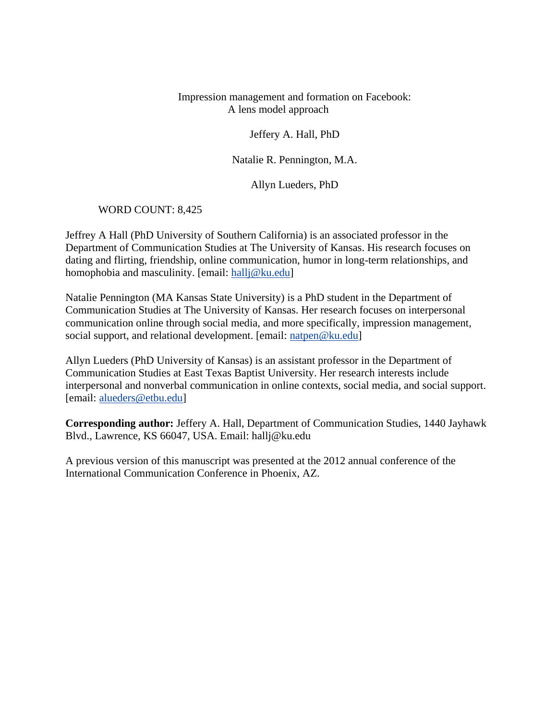Impression management and formation on Facebook: A lens model approach

Jeffery A. Hall, PhD

Natalie R. Pennington, M.A.

Allyn Lueders, PhD

WORD COUNT: 8,425

Jeffrey A Hall (PhD University of Southern California) is an associated professor in the Department of Communication Studies at The University of Kansas. His research focuses on dating and flirting, friendship, online communication, humor in long-term relationships, and homophobia and masculinity. [email: [hallj@ku.edu\]](mailto:hallj@ku.edu)

Natalie Pennington (MA Kansas State University) is a PhD student in the Department of Communication Studies at The University of Kansas. Her research focuses on interpersonal communication online through social media, and more specifically, impression management, social support, and relational development. [email: [natpen@ku.edu\]](mailto:natpen@ku.edu)

Allyn Lueders (PhD University of Kansas) is an assistant professor in the Department of Communication Studies at East Texas Baptist University. Her research interests include interpersonal and nonverbal communication in online contexts, social media, and social support. [email: [alueders@etbu.edu\]](mailto:alueders@etbu.edu)

**Corresponding author:** Jeffery A. Hall, Department of Communication Studies, 1440 Jayhawk Blvd., Lawrence, KS 66047, USA. Email: hallj@ku.edu

A previous version of this manuscript was presented at the 2012 annual conference of the International Communication Conference in Phoenix, AZ.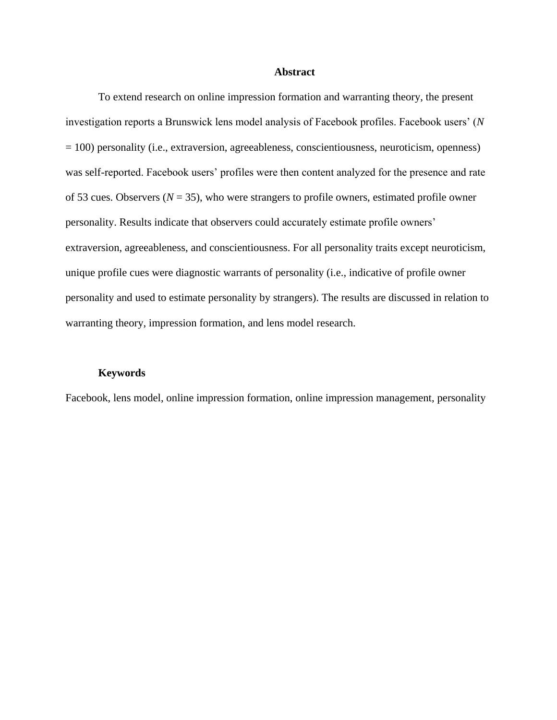### **Abstract**

To extend research on online impression formation and warranting theory, the present investigation reports a Brunswick lens model analysis of Facebook profiles. Facebook users' (*N* = 100) personality (i.e., extraversion, agreeableness, conscientiousness, neuroticism, openness) was self-reported. Facebook users' profiles were then content analyzed for the presence and rate of 53 cues. Observers  $(N = 35)$ , who were strangers to profile owners, estimated profile owner personality. Results indicate that observers could accurately estimate profile owners' extraversion, agreeableness, and conscientiousness. For all personality traits except neuroticism, unique profile cues were diagnostic warrants of personality (i.e., indicative of profile owner personality and used to estimate personality by strangers). The results are discussed in relation to warranting theory, impression formation, and lens model research.

#### **Keywords**

Facebook, lens model, online impression formation, online impression management, personality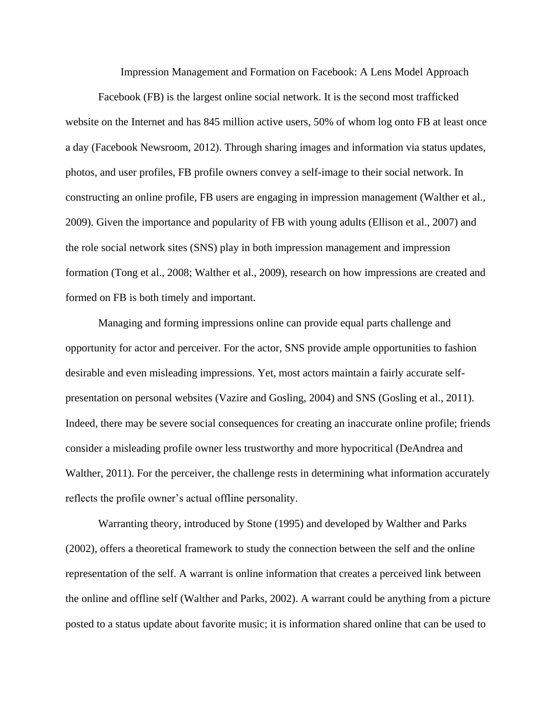Impression Management and Formation on Facebook: A Lens Model Approach

Facebook (FB) is the largest online social network. It is the second most trafficked website on the Internet and has 845 million active users, 50% of whom log onto FB at least once a day (Facebook Newsroom, 2012). Through sharing images and information via status updates, photos, and user profiles, FB profile owners convey a self-image to their social network. In constructing an online profile, FB users are engaging in impression management (Walther et al., 2009). Given the importance and popularity of FB with young adults (Ellison et al., 2007) and the role social network sites (SNS) play in both impression management and impression formation (Tong et al., 2008; Walther et al., 2009), research on how impressions are created and formed on FB is both timely and important.

Managing and forming impressions online can provide equal parts challenge and opportunity for actor and perceiver. For the actor, SNS provide ample opportunities to fashion desirable and even misleading impressions. Yet, most actors maintain a fairly accurate selfpresentation on personal websites (Vazire and Gosling, 2004) and SNS (Gosling et al., 2011). Indeed, there may be severe social consequences for creating an inaccurate online profile; friends consider a misleading profile owner less trustworthy and more hypocritical (DeAndrea and Walther, 2011). For the perceiver, the challenge rests in determining what information accurately reflects the profile owner's actual offline personality.

Warranting theory, introduced by Stone (1995) and developed by Walther and Parks (2002), offers a theoretical framework to study the connection between the self and the online representation of the self. A warrant is online information that creates a perceived link between the online and offline self (Walther and Parks, 2002). A warrant could be anything from a picture posted to a status update about favorite music; it is information shared online that can be used to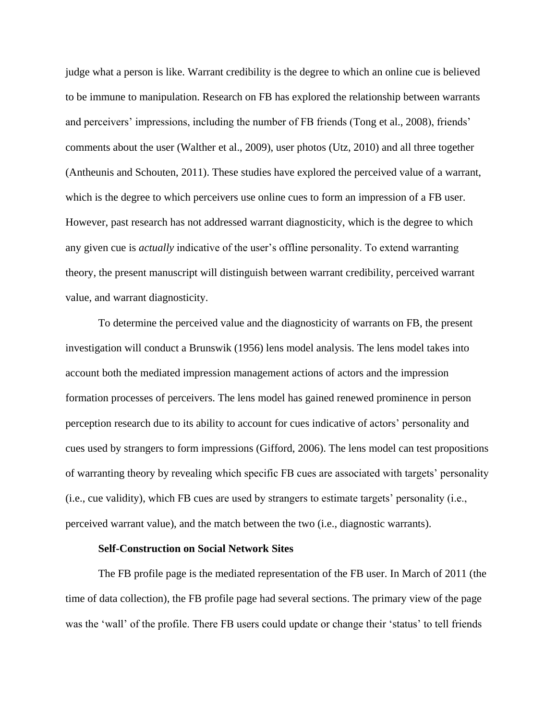judge what a person is like. Warrant credibility is the degree to which an online cue is believed to be immune to manipulation. Research on FB has explored the relationship between warrants and perceivers' impressions, including the number of FB friends (Tong et al., 2008), friends' comments about the user (Walther et al., 2009), user photos (Utz, 2010) and all three together (Antheunis and Schouten, 2011). These studies have explored the perceived value of a warrant, which is the degree to which perceivers use online cues to form an impression of a FB user. However, past research has not addressed warrant diagnosticity, which is the degree to which any given cue is *actually* indicative of the user's offline personality. To extend warranting theory, the present manuscript will distinguish between warrant credibility, perceived warrant value, and warrant diagnosticity.

To determine the perceived value and the diagnosticity of warrants on FB, the present investigation will conduct a Brunswik (1956) lens model analysis. The lens model takes into account both the mediated impression management actions of actors and the impression formation processes of perceivers. The lens model has gained renewed prominence in person perception research due to its ability to account for cues indicative of actors' personality and cues used by strangers to form impressions (Gifford, 2006). The lens model can test propositions of warranting theory by revealing which specific FB cues are associated with targets' personality (i.e., cue validity), which FB cues are used by strangers to estimate targets' personality (i.e., perceived warrant value), and the match between the two (i.e., diagnostic warrants).

# **Self-Construction on Social Network Sites**

The FB profile page is the mediated representation of the FB user. In March of 2011 (the time of data collection), the FB profile page had several sections. The primary view of the page was the 'wall' of the profile. There FB users could update or change their 'status' to tell friends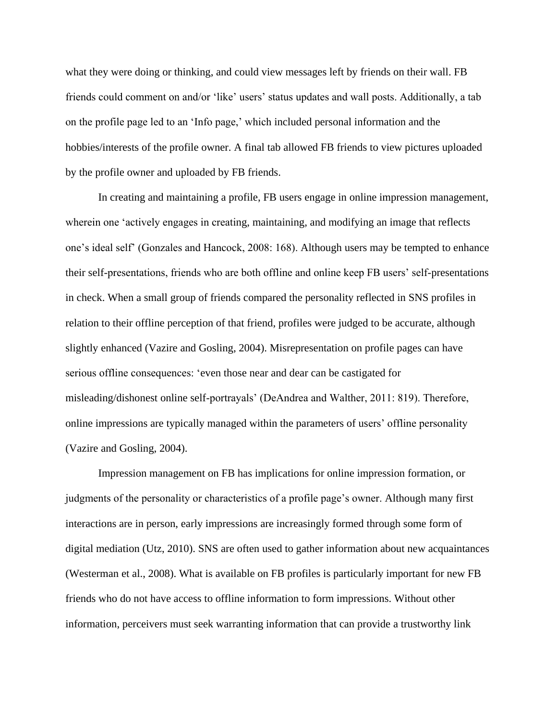what they were doing or thinking, and could view messages left by friends on their wall. FB friends could comment on and/or 'like' users' status updates and wall posts. Additionally, a tab on the profile page led to an 'Info page,' which included personal information and the hobbies/interests of the profile owner. A final tab allowed FB friends to view pictures uploaded by the profile owner and uploaded by FB friends.

In creating and maintaining a profile, FB users engage in online impression management, wherein one 'actively engages in creating, maintaining, and modifying an image that reflects one's ideal self' (Gonzales and Hancock, 2008: 168). Although users may be tempted to enhance their self-presentations, friends who are both offline and online keep FB users' self-presentations in check. When a small group of friends compared the personality reflected in SNS profiles in relation to their offline perception of that friend, profiles were judged to be accurate, although slightly enhanced (Vazire and Gosling, 2004). Misrepresentation on profile pages can have serious offline consequences: 'even those near and dear can be castigated for misleading/dishonest online self-portrayals' (DeAndrea and Walther, 2011: 819). Therefore, online impressions are typically managed within the parameters of users' offline personality (Vazire and Gosling, 2004).

Impression management on FB has implications for online impression formation, or judgments of the personality or characteristics of a profile page's owner. Although many first interactions are in person, early impressions are increasingly formed through some form of digital mediation (Utz, 2010). SNS are often used to gather information about new acquaintances (Westerman et al., 2008). What is available on FB profiles is particularly important for new FB friends who do not have access to offline information to form impressions. Without other information, perceivers must seek warranting information that can provide a trustworthy link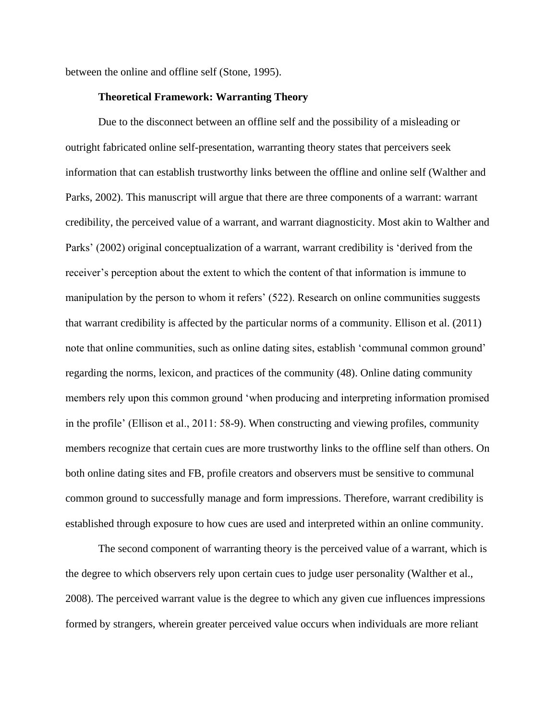between the online and offline self (Stone, 1995).

## **Theoretical Framework: Warranting Theory**

Due to the disconnect between an offline self and the possibility of a misleading or outright fabricated online self-presentation, warranting theory states that perceivers seek information that can establish trustworthy links between the offline and online self (Walther and Parks, 2002). This manuscript will argue that there are three components of a warrant: warrant credibility, the perceived value of a warrant, and warrant diagnosticity. Most akin to Walther and Parks' (2002) original conceptualization of a warrant, warrant credibility is 'derived from the receiver's perception about the extent to which the content of that information is immune to manipulation by the person to whom it refers' (522). Research on online communities suggests that warrant credibility is affected by the particular norms of a community. Ellison et al. (2011) note that online communities, such as online dating sites, establish 'communal common ground' regarding the norms, lexicon, and practices of the community (48). Online dating community members rely upon this common ground 'when producing and interpreting information promised in the profile' (Ellison et al., 2011: 58-9). When constructing and viewing profiles, community members recognize that certain cues are more trustworthy links to the offline self than others. On both online dating sites and FB, profile creators and observers must be sensitive to communal common ground to successfully manage and form impressions. Therefore, warrant credibility is established through exposure to how cues are used and interpreted within an online community.

The second component of warranting theory is the perceived value of a warrant, which is the degree to which observers rely upon certain cues to judge user personality (Walther et al., 2008). The perceived warrant value is the degree to which any given cue influences impressions formed by strangers, wherein greater perceived value occurs when individuals are more reliant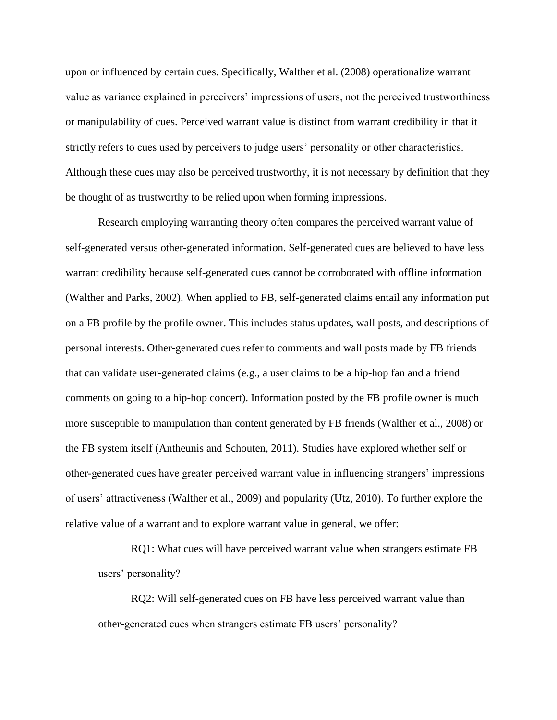upon or influenced by certain cues. Specifically, Walther et al. (2008) operationalize warrant value as variance explained in perceivers' impressions of users, not the perceived trustworthiness or manipulability of cues. Perceived warrant value is distinct from warrant credibility in that it strictly refers to cues used by perceivers to judge users' personality or other characteristics. Although these cues may also be perceived trustworthy, it is not necessary by definition that they be thought of as trustworthy to be relied upon when forming impressions.

Research employing warranting theory often compares the perceived warrant value of self-generated versus other-generated information. Self-generated cues are believed to have less warrant credibility because self-generated cues cannot be corroborated with offline information (Walther and Parks, 2002). When applied to FB, self-generated claims entail any information put on a FB profile by the profile owner. This includes status updates, wall posts, and descriptions of personal interests. Other-generated cues refer to comments and wall posts made by FB friends that can validate user-generated claims (e.g., a user claims to be a hip-hop fan and a friend comments on going to a hip-hop concert). Information posted by the FB profile owner is much more susceptible to manipulation than content generated by FB friends (Walther et al., 2008) or the FB system itself (Antheunis and Schouten, 2011). Studies have explored whether self or other-generated cues have greater perceived warrant value in influencing strangers' impressions of users' attractiveness (Walther et al., 2009) and popularity (Utz, 2010). To further explore the relative value of a warrant and to explore warrant value in general, we offer:

RQ1: What cues will have perceived warrant value when strangers estimate FB users' personality?

RQ2: Will self-generated cues on FB have less perceived warrant value than other-generated cues when strangers estimate FB users' personality?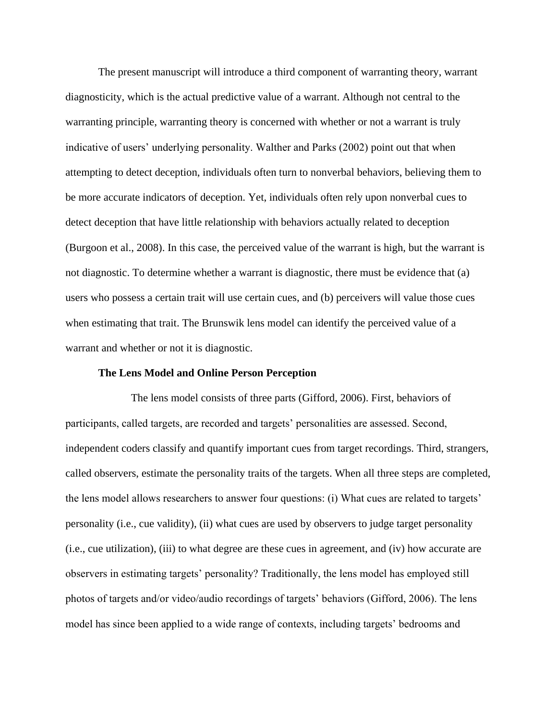The present manuscript will introduce a third component of warranting theory, warrant diagnosticity, which is the actual predictive value of a warrant. Although not central to the warranting principle, warranting theory is concerned with whether or not a warrant is truly indicative of users' underlying personality. Walther and Parks (2002) point out that when attempting to detect deception, individuals often turn to nonverbal behaviors, believing them to be more accurate indicators of deception. Yet, individuals often rely upon nonverbal cues to detect deception that have little relationship with behaviors actually related to deception (Burgoon et al., 2008). In this case, the perceived value of the warrant is high, but the warrant is not diagnostic. To determine whether a warrant is diagnostic, there must be evidence that (a) users who possess a certain trait will use certain cues, and (b) perceivers will value those cues when estimating that trait. The Brunswik lens model can identify the perceived value of a warrant and whether or not it is diagnostic.

### **The Lens Model and Online Person Perception**

The lens model consists of three parts (Gifford, 2006). First, behaviors of participants, called targets, are recorded and targets' personalities are assessed. Second, independent coders classify and quantify important cues from target recordings. Third, strangers, called observers, estimate the personality traits of the targets. When all three steps are completed, the lens model allows researchers to answer four questions: (i) What cues are related to targets' personality (i.e., cue validity), (ii) what cues are used by observers to judge target personality (i.e., cue utilization), (iii) to what degree are these cues in agreement, and (iv) how accurate are observers in estimating targets' personality? Traditionally, the lens model has employed still photos of targets and/or video/audio recordings of targets' behaviors (Gifford, 2006). The lens model has since been applied to a wide range of contexts, including targets' bedrooms and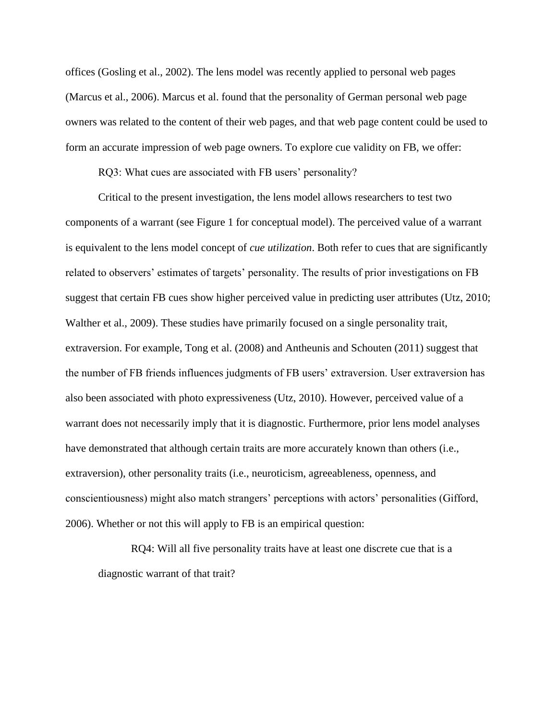offices (Gosling et al., 2002). The lens model was recently applied to personal web pages (Marcus et al., 2006). Marcus et al. found that the personality of German personal web page owners was related to the content of their web pages, and that web page content could be used to form an accurate impression of web page owners. To explore cue validity on FB, we offer:

RQ3: What cues are associated with FB users' personality?

Critical to the present investigation, the lens model allows researchers to test two components of a warrant (see Figure 1 for conceptual model). The perceived value of a warrant is equivalent to the lens model concept of *cue utilization*. Both refer to cues that are significantly related to observers' estimates of targets' personality. The results of prior investigations on FB suggest that certain FB cues show higher perceived value in predicting user attributes (Utz, 2010; Walther et al., 2009). These studies have primarily focused on a single personality trait, extraversion. For example, Tong et al. (2008) and Antheunis and Schouten (2011) suggest that the number of FB friends influences judgments of FB users' extraversion. User extraversion has also been associated with photo expressiveness (Utz, 2010). However, perceived value of a warrant does not necessarily imply that it is diagnostic. Furthermore, prior lens model analyses have demonstrated that although certain traits are more accurately known than others (i.e., extraversion), other personality traits (i.e., neuroticism, agreeableness, openness, and conscientiousness) might also match strangers' perceptions with actors' personalities (Gifford, 2006). Whether or not this will apply to FB is an empirical question:

RQ4: Will all five personality traits have at least one discrete cue that is a diagnostic warrant of that trait?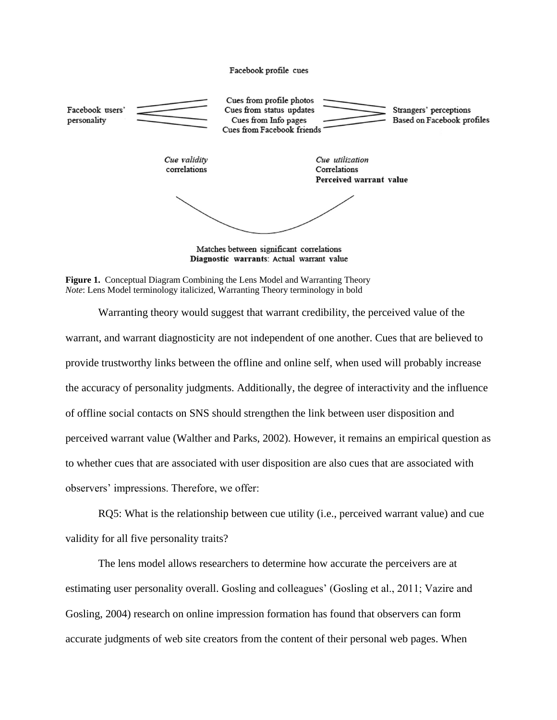

Diagnostic warrants: Actual warrant value

**Figure 1.** Conceptual Diagram Combining the Lens Model and Warranting Theory *Note*: Lens Model terminology italicized, Warranting Theory terminology in bold

Warranting theory would suggest that warrant credibility, the perceived value of the warrant, and warrant diagnosticity are not independent of one another. Cues that are believed to provide trustworthy links between the offline and online self, when used will probably increase the accuracy of personality judgments. Additionally, the degree of interactivity and the influence of offline social contacts on SNS should strengthen the link between user disposition and perceived warrant value (Walther and Parks, 2002). However, it remains an empirical question as to whether cues that are associated with user disposition are also cues that are associated with observers' impressions. Therefore, we offer:

RQ5: What is the relationship between cue utility (i.e., perceived warrant value) and cue validity for all five personality traits?

The lens model allows researchers to determine how accurate the perceivers are at estimating user personality overall. Gosling and colleagues' (Gosling et al., 2011; Vazire and Gosling, 2004) research on online impression formation has found that observers can form accurate judgments of web site creators from the content of their personal web pages. When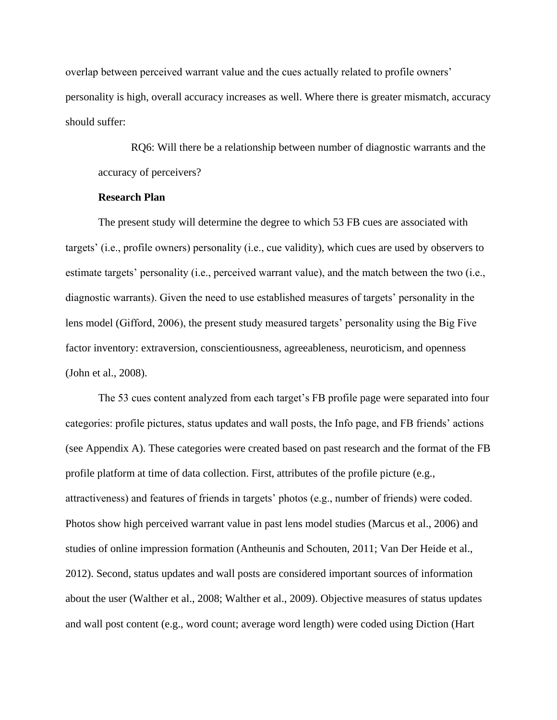overlap between perceived warrant value and the cues actually related to profile owners' personality is high, overall accuracy increases as well. Where there is greater mismatch, accuracy should suffer:

RQ6: Will there be a relationship between number of diagnostic warrants and the accuracy of perceivers?

# **Research Plan**

The present study will determine the degree to which 53 FB cues are associated with targets' (i.e., profile owners) personality (i.e., cue validity), which cues are used by observers to estimate targets' personality (i.e., perceived warrant value), and the match between the two (i.e., diagnostic warrants). Given the need to use established measures of targets' personality in the lens model (Gifford, 2006), the present study measured targets' personality using the Big Five factor inventory: extraversion, conscientiousness, agreeableness, neuroticism, and openness (John et al., 2008).

The 53 cues content analyzed from each target's FB profile page were separated into four categories: profile pictures, status updates and wall posts, the Info page, and FB friends' actions (see Appendix A). These categories were created based on past research and the format of the FB profile platform at time of data collection. First, attributes of the profile picture (e.g., attractiveness) and features of friends in targets' photos (e.g., number of friends) were coded. Photos show high perceived warrant value in past lens model studies (Marcus et al., 2006) and studies of online impression formation (Antheunis and Schouten, 2011; Van Der Heide et al., 2012). Second, status updates and wall posts are considered important sources of information about the user (Walther et al., 2008; Walther et al., 2009). Objective measures of status updates and wall post content (e.g., word count; average word length) were coded using Diction (Hart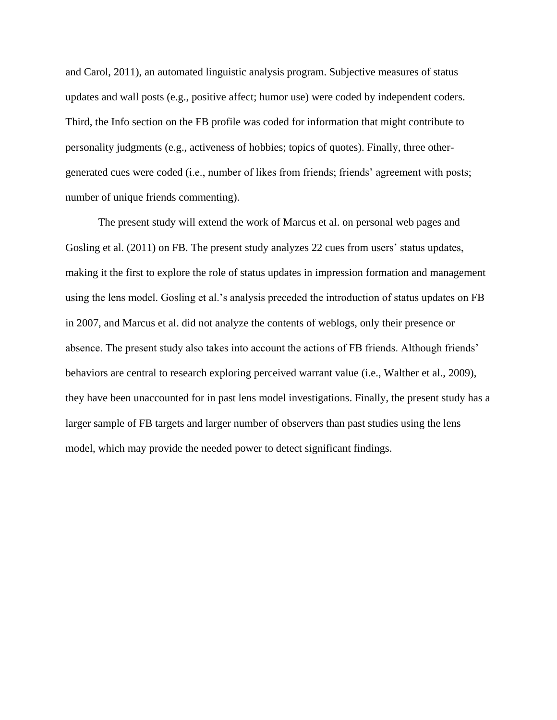and Carol, 2011), an automated linguistic analysis program. Subjective measures of status updates and wall posts (e.g., positive affect; humor use) were coded by independent coders. Third, the Info section on the FB profile was coded for information that might contribute to personality judgments (e.g., activeness of hobbies; topics of quotes). Finally, three othergenerated cues were coded (i.e., number of likes from friends; friends' agreement with posts; number of unique friends commenting).

The present study will extend the work of Marcus et al. on personal web pages and Gosling et al. (2011) on FB. The present study analyzes 22 cues from users' status updates, making it the first to explore the role of status updates in impression formation and management using the lens model. Gosling et al.'s analysis preceded the introduction of status updates on FB in 2007, and Marcus et al. did not analyze the contents of weblogs, only their presence or absence. The present study also takes into account the actions of FB friends. Although friends' behaviors are central to research exploring perceived warrant value (i.e., Walther et al., 2009), they have been unaccounted for in past lens model investigations. Finally, the present study has a larger sample of FB targets and larger number of observers than past studies using the lens model, which may provide the needed power to detect significant findings.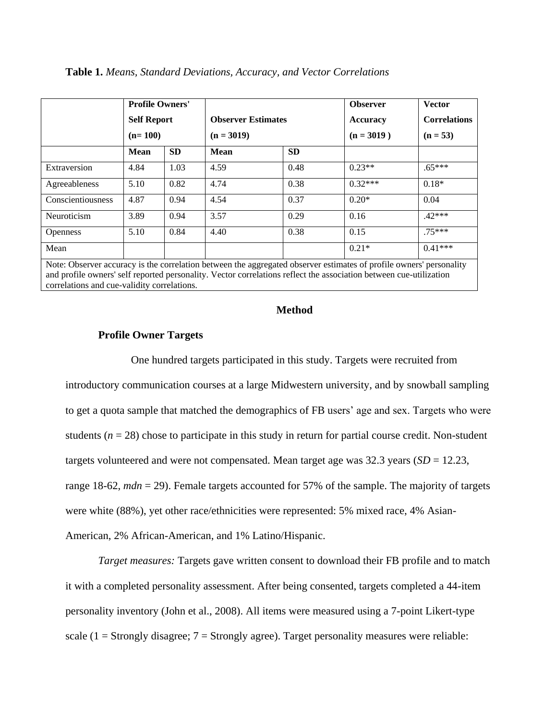|                   | <b>Profile Owners'</b><br><b>Self Report</b><br>$(n=100)$ |           | <b>Observer Estimates</b><br>$(n = 3019)$ |           | <b>Observer</b><br>Accuracy<br>$(n = 3019)$ | <b>Vector</b><br><b>Correlations</b><br>$(n = 53)$ |
|-------------------|-----------------------------------------------------------|-----------|-------------------------------------------|-----------|---------------------------------------------|----------------------------------------------------|
|                   | <b>Mean</b>                                               | <b>SD</b> | <b>Mean</b>                               | <b>SD</b> |                                             |                                                    |
| Extraversion      | 4.84                                                      | 1.03      | 4.59                                      | 0.48      | $0.23**$                                    | $.65***$                                           |
| Agreeableness     | 5.10                                                      | 0.82      | 4.74                                      | 0.38      | $0.32***$                                   | $0.18*$                                            |
| Conscientiousness | 4.87                                                      | 0.94      | 4.54                                      | 0.37      | $0.20*$                                     | 0.04                                               |
| Neuroticism       | 3.89                                                      | 0.94      | 3.57                                      | 0.29      | 0.16                                        | $.42***$                                           |
| <b>Openness</b>   | 5.10                                                      | 0.84      | 4.40                                      | 0.38      | 0.15                                        | $75***$                                            |
| Mean              |                                                           |           |                                           |           | $0.21*$                                     | $0.41***$                                          |
|                   |                                                           |           |                                           |           |                                             |                                                    |

**Table 1.** *Means, Standard Deviations, Accuracy, and Vector Correlations*

Note: Observer accuracy is the correlation between the aggregated observer estimates of profile owners' personality and profile owners' self reported personality. Vector correlations reflect the association between cue-utilization correlations and cue-validity correlations.

# **Method**

# **Profile Owner Targets**

One hundred targets participated in this study. Targets were recruited from introductory communication courses at a large Midwestern university, and by snowball sampling to get a quota sample that matched the demographics of FB users' age and sex. Targets who were students  $(n = 28)$  chose to participate in this study in return for partial course credit. Non-student targets volunteered and were not compensated. Mean target age was 32.3 years (*SD* = 12.23, range 18-62, *mdn* = 29). Female targets accounted for 57% of the sample. The majority of targets were white (88%), yet other race/ethnicities were represented: 5% mixed race, 4% Asian-American, 2% African-American, and 1% Latino/Hispanic.

*Target measures:* Targets gave written consent to download their FB profile and to match it with a completed personality assessment. After being consented, targets completed a 44-item personality inventory (John et al., 2008). All items were measured using a 7-point Likert-type scale (1 = Strongly disagree;  $7$  = Strongly agree). Target personality measures were reliable: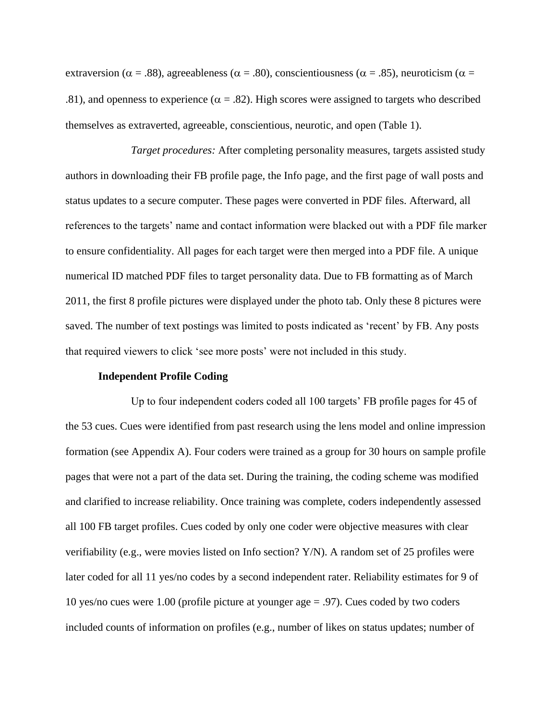extraversion ( $\alpha = .88$ ), agreeableness ( $\alpha = .80$ ), conscientiousness ( $\alpha = .85$ ), neuroticism ( $\alpha =$ .81), and openness to experience ( $\alpha = .82$ ). High scores were assigned to targets who described themselves as extraverted, agreeable, conscientious, neurotic, and open (Table 1).

*Target procedures:* After completing personality measures, targets assisted study authors in downloading their FB profile page, the Info page, and the first page of wall posts and status updates to a secure computer. These pages were converted in PDF files. Afterward, all references to the targets' name and contact information were blacked out with a PDF file marker to ensure confidentiality. All pages for each target were then merged into a PDF file. A unique numerical ID matched PDF files to target personality data. Due to FB formatting as of March 2011, the first 8 profile pictures were displayed under the photo tab. Only these 8 pictures were saved. The number of text postings was limited to posts indicated as 'recent' by FB. Any posts that required viewers to click 'see more posts' were not included in this study.

## **Independent Profile Coding**

Up to four independent coders coded all 100 targets' FB profile pages for 45 of the 53 cues. Cues were identified from past research using the lens model and online impression formation (see Appendix A). Four coders were trained as a group for 30 hours on sample profile pages that were not a part of the data set. During the training, the coding scheme was modified and clarified to increase reliability. Once training was complete, coders independently assessed all 100 FB target profiles. Cues coded by only one coder were objective measures with clear verifiability (e.g., were movies listed on Info section? Y/N). A random set of 25 profiles were later coded for all 11 yes/no codes by a second independent rater. Reliability estimates for 9 of 10 yes/no cues were 1.00 (profile picture at younger age = .97). Cues coded by two coders included counts of information on profiles (e.g., number of likes on status updates; number of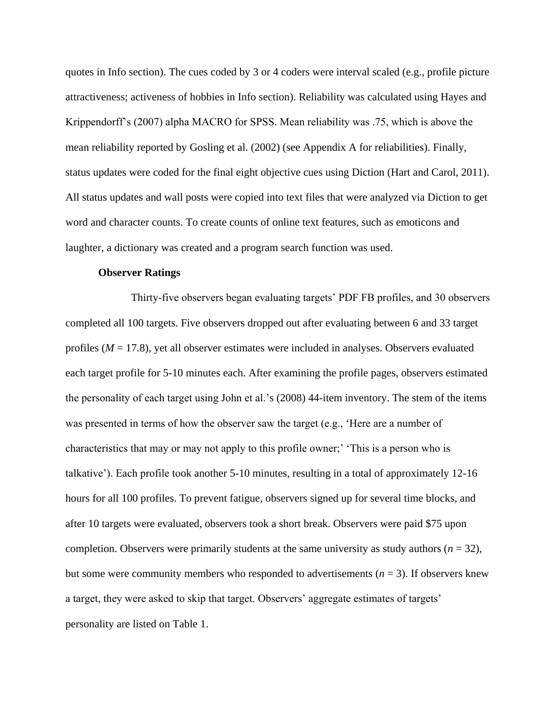quotes in Info section). The cues coded by 3 or 4 coders were interval scaled (e.g., profile picture attractiveness; activeness of hobbies in Info section). Reliability was calculated using Hayes and Krippendorff's (2007) alpha MACRO for SPSS. Mean reliability was .75, which is above the mean reliability reported by Gosling et al. (2002) (see Appendix A for reliabilities). Finally, status updates were coded for the final eight objective cues using Diction (Hart and Carol, 2011). All status updates and wall posts were copied into text files that were analyzed via Diction to get word and character counts. To create counts of online text features, such as emoticons and laughter, a dictionary was created and a program search function was used.

# **Observer Ratings**

Thirty-five observers began evaluating targets' PDF FB profiles, and 30 observers completed all 100 targets. Five observers dropped out after evaluating between 6 and 33 target profiles (*M* = 17.8), yet all observer estimates were included in analyses. Observers evaluated each target profile for 5-10 minutes each. After examining the profile pages, observers estimated the personality of each target using John et al.'s (2008) 44-item inventory. The stem of the items was presented in terms of how the observer saw the target (e.g., 'Here are a number of characteristics that may or may not apply to this profile owner;' 'This is a person who is talkative'). Each profile took another 5-10 minutes, resulting in a total of approximately 12-16 hours for all 100 profiles. To prevent fatigue, observers signed up for several time blocks, and after 10 targets were evaluated, observers took a short break. Observers were paid \$75 upon completion. Observers were primarily students at the same university as study authors ( $n = 32$ ), but some were community members who responded to advertisements  $(n = 3)$ . If observers knew a target, they were asked to skip that target. Observers' aggregate estimates of targets' personality are listed on Table 1.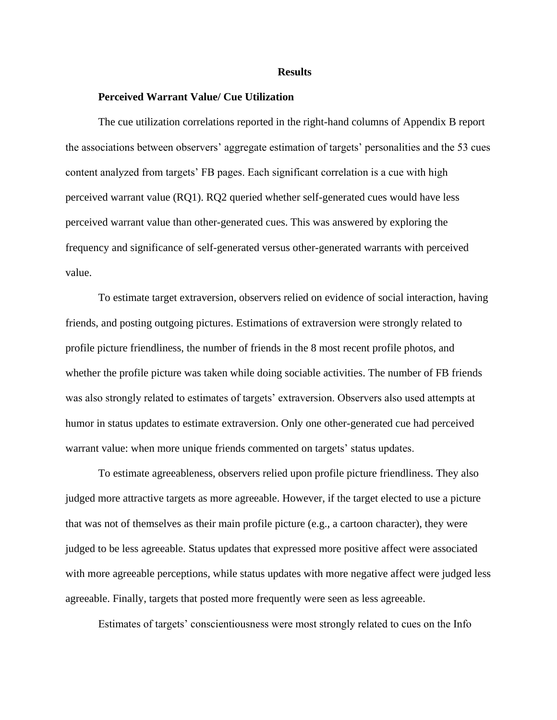#### **Results**

### **Perceived Warrant Value/ Cue Utilization**

The cue utilization correlations reported in the right-hand columns of Appendix B report the associations between observers' aggregate estimation of targets' personalities and the 53 cues content analyzed from targets' FB pages. Each significant correlation is a cue with high perceived warrant value (RQ1). RQ2 queried whether self-generated cues would have less perceived warrant value than other-generated cues. This was answered by exploring the frequency and significance of self-generated versus other-generated warrants with perceived value.

To estimate target extraversion, observers relied on evidence of social interaction, having friends, and posting outgoing pictures. Estimations of extraversion were strongly related to profile picture friendliness, the number of friends in the 8 most recent profile photos, and whether the profile picture was taken while doing sociable activities. The number of FB friends was also strongly related to estimates of targets' extraversion. Observers also used attempts at humor in status updates to estimate extraversion. Only one other-generated cue had perceived warrant value: when more unique friends commented on targets' status updates.

To estimate agreeableness, observers relied upon profile picture friendliness. They also judged more attractive targets as more agreeable. However, if the target elected to use a picture that was not of themselves as their main profile picture (e.g., a cartoon character), they were judged to be less agreeable. Status updates that expressed more positive affect were associated with more agreeable perceptions, while status updates with more negative affect were judged less agreeable. Finally, targets that posted more frequently were seen as less agreeable.

Estimates of targets' conscientiousness were most strongly related to cues on the Info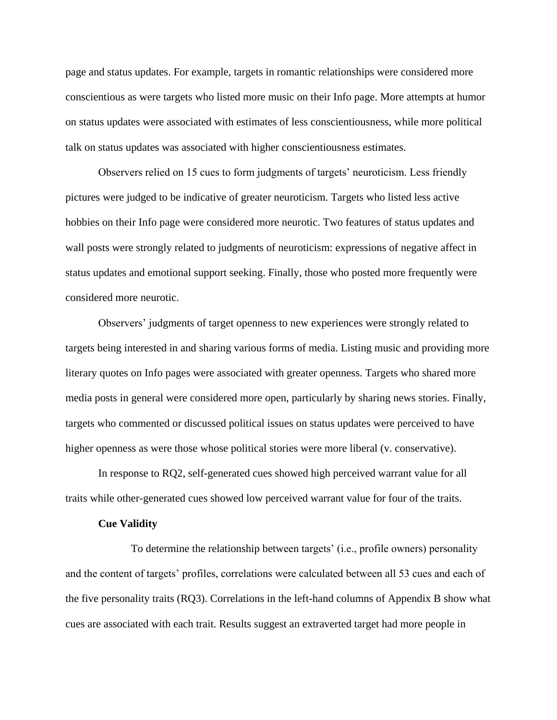page and status updates. For example, targets in romantic relationships were considered more conscientious as were targets who listed more music on their Info page. More attempts at humor on status updates were associated with estimates of less conscientiousness, while more political talk on status updates was associated with higher conscientiousness estimates.

Observers relied on 15 cues to form judgments of targets' neuroticism. Less friendly pictures were judged to be indicative of greater neuroticism. Targets who listed less active hobbies on their Info page were considered more neurotic. Two features of status updates and wall posts were strongly related to judgments of neuroticism: expressions of negative affect in status updates and emotional support seeking. Finally, those who posted more frequently were considered more neurotic.

Observers' judgments of target openness to new experiences were strongly related to targets being interested in and sharing various forms of media. Listing music and providing more literary quotes on Info pages were associated with greater openness. Targets who shared more media posts in general were considered more open, particularly by sharing news stories. Finally, targets who commented or discussed political issues on status updates were perceived to have higher openness as were those whose political stories were more liberal (v. conservative).

In response to RQ2, self-generated cues showed high perceived warrant value for all traits while other-generated cues showed low perceived warrant value for four of the traits.

### **Cue Validity**

To determine the relationship between targets' (i.e., profile owners) personality and the content of targets' profiles, correlations were calculated between all 53 cues and each of the five personality traits (RQ3). Correlations in the left-hand columns of Appendix B show what cues are associated with each trait. Results suggest an extraverted target had more people in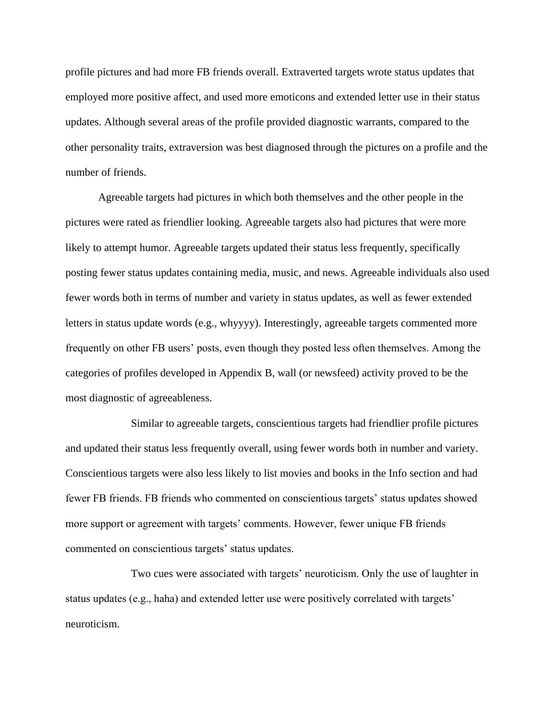profile pictures and had more FB friends overall. Extraverted targets wrote status updates that employed more positive affect, and used more emoticons and extended letter use in their status updates. Although several areas of the profile provided diagnostic warrants, compared to the other personality traits, extraversion was best diagnosed through the pictures on a profile and the number of friends.

Agreeable targets had pictures in which both themselves and the other people in the pictures were rated as friendlier looking. Agreeable targets also had pictures that were more likely to attempt humor. Agreeable targets updated their status less frequently, specifically posting fewer status updates containing media, music, and news. Agreeable individuals also used fewer words both in terms of number and variety in status updates, as well as fewer extended letters in status update words (e.g., whyyyy). Interestingly, agreeable targets commented more frequently on other FB users' posts, even though they posted less often themselves. Among the categories of profiles developed in Appendix B, wall (or newsfeed) activity proved to be the most diagnostic of agreeableness.

Similar to agreeable targets, conscientious targets had friendlier profile pictures and updated their status less frequently overall, using fewer words both in number and variety. Conscientious targets were also less likely to list movies and books in the Info section and had fewer FB friends. FB friends who commented on conscientious targets' status updates showed more support or agreement with targets' comments. However, fewer unique FB friends commented on conscientious targets' status updates.

Two cues were associated with targets' neuroticism. Only the use of laughter in status updates (e.g., haha) and extended letter use were positively correlated with targets' neuroticism.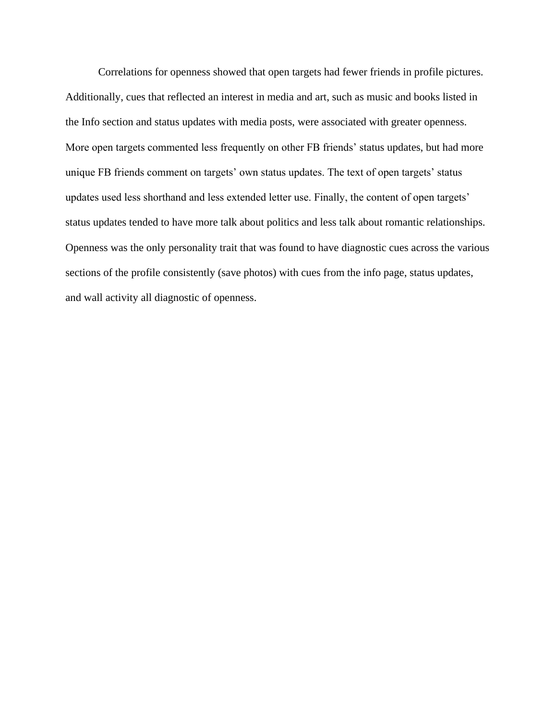Correlations for openness showed that open targets had fewer friends in profile pictures. Additionally, cues that reflected an interest in media and art, such as music and books listed in the Info section and status updates with media posts, were associated with greater openness. More open targets commented less frequently on other FB friends' status updates, but had more unique FB friends comment on targets' own status updates. The text of open targets' status updates used less shorthand and less extended letter use. Finally, the content of open targets' status updates tended to have more talk about politics and less talk about romantic relationships. Openness was the only personality trait that was found to have diagnostic cues across the various sections of the profile consistently (save photos) with cues from the info page, status updates, and wall activity all diagnostic of openness.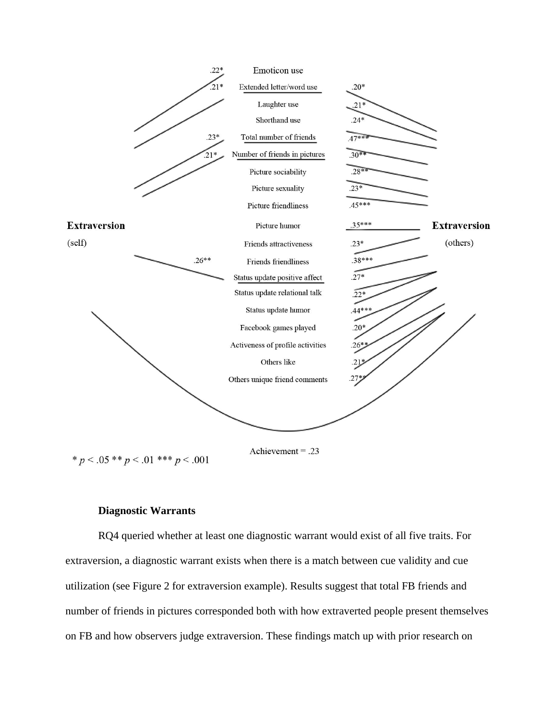

# **Diagnostic Warrants**

RQ4 queried whether at least one diagnostic warrant would exist of all five traits. For extraversion, a diagnostic warrant exists when there is a match between cue validity and cue utilization (see Figure 2 for extraversion example). Results suggest that total FB friends and number of friends in pictures corresponded both with how extraverted people present themselves on FB and how observers judge extraversion. These findings match up with prior research on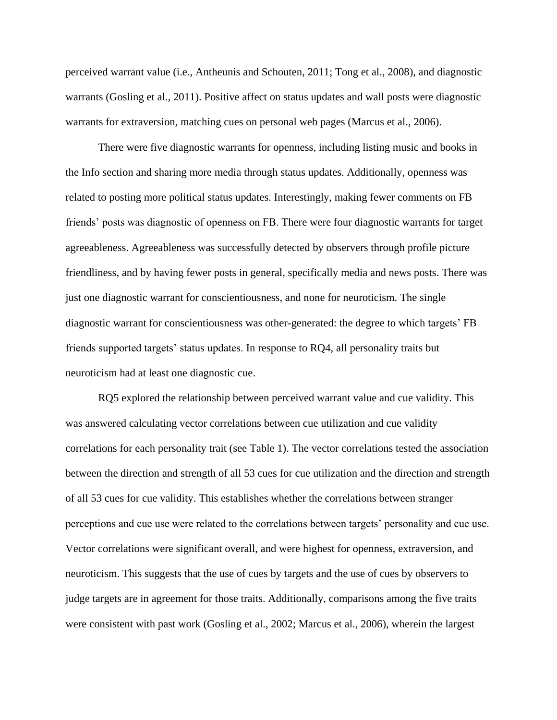perceived warrant value (i.e., Antheunis and Schouten, 2011; Tong et al., 2008), and diagnostic warrants (Gosling et al., 2011). Positive affect on status updates and wall posts were diagnostic warrants for extraversion, matching cues on personal web pages (Marcus et al., 2006).

There were five diagnostic warrants for openness, including listing music and books in the Info section and sharing more media through status updates. Additionally, openness was related to posting more political status updates. Interestingly, making fewer comments on FB friends' posts was diagnostic of openness on FB. There were four diagnostic warrants for target agreeableness. Agreeableness was successfully detected by observers through profile picture friendliness, and by having fewer posts in general, specifically media and news posts. There was just one diagnostic warrant for conscientiousness, and none for neuroticism. The single diagnostic warrant for conscientiousness was other-generated: the degree to which targets' FB friends supported targets' status updates. In response to RQ4, all personality traits but neuroticism had at least one diagnostic cue.

RQ5 explored the relationship between perceived warrant value and cue validity. This was answered calculating vector correlations between cue utilization and cue validity correlations for each personality trait (see Table 1). The vector correlations tested the association between the direction and strength of all 53 cues for cue utilization and the direction and strength of all 53 cues for cue validity. This establishes whether the correlations between stranger perceptions and cue use were related to the correlations between targets' personality and cue use. Vector correlations were significant overall, and were highest for openness, extraversion, and neuroticism. This suggests that the use of cues by targets and the use of cues by observers to judge targets are in agreement for those traits. Additionally, comparisons among the five traits were consistent with past work (Gosling et al., 2002; Marcus et al., 2006), wherein the largest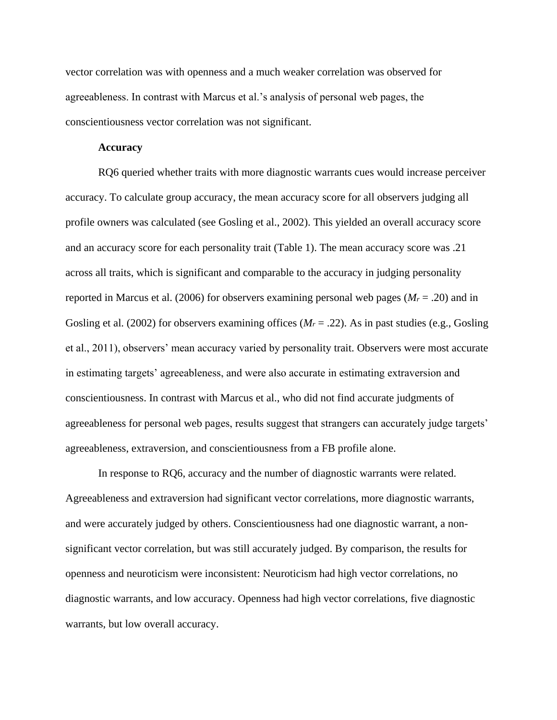vector correlation was with openness and a much weaker correlation was observed for agreeableness. In contrast with Marcus et al.'s analysis of personal web pages, the conscientiousness vector correlation was not significant.

# **Accuracy**

RQ6 queried whether traits with more diagnostic warrants cues would increase perceiver accuracy. To calculate group accuracy, the mean accuracy score for all observers judging all profile owners was calculated (see Gosling et al., 2002). This yielded an overall accuracy score and an accuracy score for each personality trait (Table 1). The mean accuracy score was .21 across all traits, which is significant and comparable to the accuracy in judging personality reported in Marcus et al. (2006) for observers examining personal web pages (*M<sup>r</sup>* = .20) and in Gosling et al. (2002) for observers examining offices ( $M_r = .22$ ). As in past studies (e.g., Gosling et al., 2011), observers' mean accuracy varied by personality trait. Observers were most accurate in estimating targets' agreeableness, and were also accurate in estimating extraversion and conscientiousness. In contrast with Marcus et al., who did not find accurate judgments of agreeableness for personal web pages, results suggest that strangers can accurately judge targets' agreeableness, extraversion, and conscientiousness from a FB profile alone.

In response to RQ6, accuracy and the number of diagnostic warrants were related. Agreeableness and extraversion had significant vector correlations, more diagnostic warrants, and were accurately judged by others. Conscientiousness had one diagnostic warrant, a nonsignificant vector correlation, but was still accurately judged. By comparison, the results for openness and neuroticism were inconsistent: Neuroticism had high vector correlations, no diagnostic warrants, and low accuracy. Openness had high vector correlations, five diagnostic warrants, but low overall accuracy.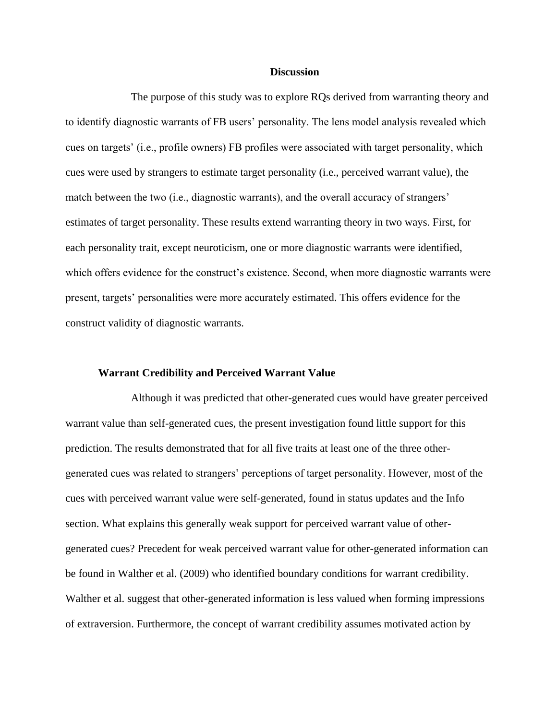### **Discussion**

The purpose of this study was to explore RQs derived from warranting theory and to identify diagnostic warrants of FB users' personality. The lens model analysis revealed which cues on targets' (i.e., profile owners) FB profiles were associated with target personality, which cues were used by strangers to estimate target personality (i.e., perceived warrant value), the match between the two (i.e., diagnostic warrants), and the overall accuracy of strangers' estimates of target personality. These results extend warranting theory in two ways. First, for each personality trait, except neuroticism, one or more diagnostic warrants were identified, which offers evidence for the construct's existence. Second, when more diagnostic warrants were present, targets' personalities were more accurately estimated. This offers evidence for the construct validity of diagnostic warrants.

### **Warrant Credibility and Perceived Warrant Value**

Although it was predicted that other-generated cues would have greater perceived warrant value than self-generated cues, the present investigation found little support for this prediction. The results demonstrated that for all five traits at least one of the three othergenerated cues was related to strangers' perceptions of target personality. However, most of the cues with perceived warrant value were self-generated, found in status updates and the Info section. What explains this generally weak support for perceived warrant value of othergenerated cues? Precedent for weak perceived warrant value for other-generated information can be found in Walther et al. (2009) who identified boundary conditions for warrant credibility. Walther et al. suggest that other-generated information is less valued when forming impressions of extraversion. Furthermore, the concept of warrant credibility assumes motivated action by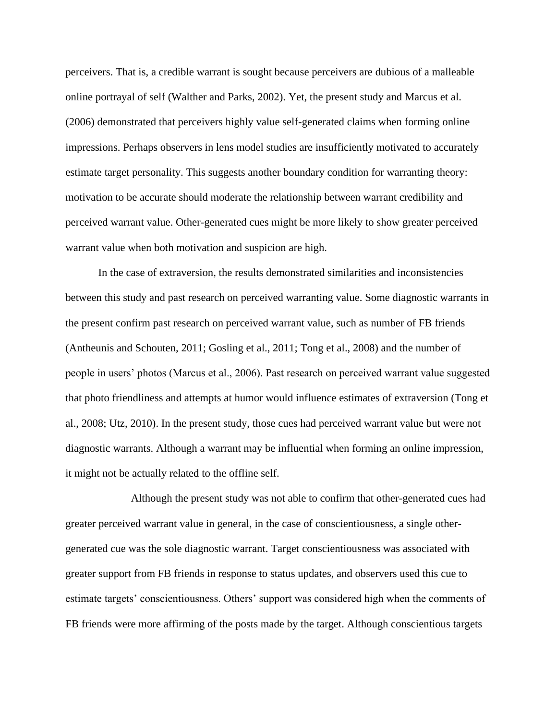perceivers. That is, a credible warrant is sought because perceivers are dubious of a malleable online portrayal of self (Walther and Parks, 2002). Yet, the present study and Marcus et al. (2006) demonstrated that perceivers highly value self-generated claims when forming online impressions. Perhaps observers in lens model studies are insufficiently motivated to accurately estimate target personality. This suggests another boundary condition for warranting theory: motivation to be accurate should moderate the relationship between warrant credibility and perceived warrant value. Other-generated cues might be more likely to show greater perceived warrant value when both motivation and suspicion are high.

In the case of extraversion, the results demonstrated similarities and inconsistencies between this study and past research on perceived warranting value. Some diagnostic warrants in the present confirm past research on perceived warrant value, such as number of FB friends (Antheunis and Schouten, 2011; Gosling et al., 2011; Tong et al., 2008) and the number of people in users' photos (Marcus et al., 2006). Past research on perceived warrant value suggested that photo friendliness and attempts at humor would influence estimates of extraversion (Tong et al., 2008; Utz, 2010). In the present study, those cues had perceived warrant value but were not diagnostic warrants. Although a warrant may be influential when forming an online impression, it might not be actually related to the offline self.

Although the present study was not able to confirm that other-generated cues had greater perceived warrant value in general, in the case of conscientiousness, a single othergenerated cue was the sole diagnostic warrant. Target conscientiousness was associated with greater support from FB friends in response to status updates, and observers used this cue to estimate targets' conscientiousness. Others' support was considered high when the comments of FB friends were more affirming of the posts made by the target. Although conscientious targets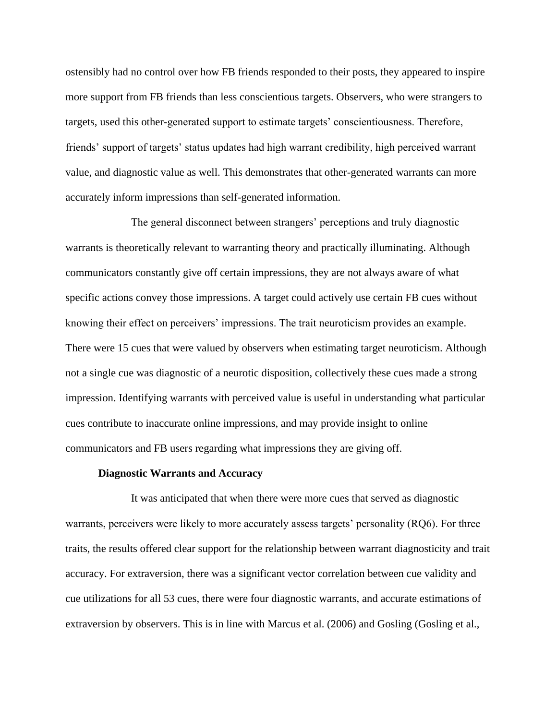ostensibly had no control over how FB friends responded to their posts, they appeared to inspire more support from FB friends than less conscientious targets. Observers, who were strangers to targets, used this other-generated support to estimate targets' conscientiousness. Therefore, friends' support of targets' status updates had high warrant credibility, high perceived warrant value, and diagnostic value as well. This demonstrates that other-generated warrants can more accurately inform impressions than self-generated information.

The general disconnect between strangers' perceptions and truly diagnostic warrants is theoretically relevant to warranting theory and practically illuminating. Although communicators constantly give off certain impressions, they are not always aware of what specific actions convey those impressions. A target could actively use certain FB cues without knowing their effect on perceivers' impressions. The trait neuroticism provides an example. There were 15 cues that were valued by observers when estimating target neuroticism. Although not a single cue was diagnostic of a neurotic disposition, collectively these cues made a strong impression. Identifying warrants with perceived value is useful in understanding what particular cues contribute to inaccurate online impressions, and may provide insight to online communicators and FB users regarding what impressions they are giving off.

# **Diagnostic Warrants and Accuracy**

It was anticipated that when there were more cues that served as diagnostic warrants, perceivers were likely to more accurately assess targets' personality (RQ6). For three traits, the results offered clear support for the relationship between warrant diagnosticity and trait accuracy. For extraversion, there was a significant vector correlation between cue validity and cue utilizations for all 53 cues, there were four diagnostic warrants, and accurate estimations of extraversion by observers. This is in line with Marcus et al. (2006) and Gosling (Gosling et al.,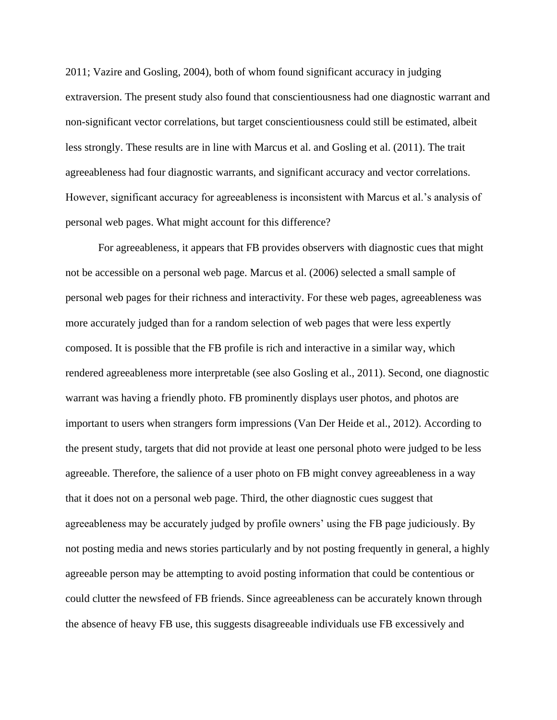2011; Vazire and Gosling, 2004), both of whom found significant accuracy in judging extraversion. The present study also found that conscientiousness had one diagnostic warrant and non-significant vector correlations, but target conscientiousness could still be estimated, albeit less strongly. These results are in line with Marcus et al. and Gosling et al. (2011). The trait agreeableness had four diagnostic warrants, and significant accuracy and vector correlations. However, significant accuracy for agreeableness is inconsistent with Marcus et al.'s analysis of personal web pages. What might account for this difference?

For agreeableness, it appears that FB provides observers with diagnostic cues that might not be accessible on a personal web page. Marcus et al. (2006) selected a small sample of personal web pages for their richness and interactivity. For these web pages, agreeableness was more accurately judged than for a random selection of web pages that were less expertly composed. It is possible that the FB profile is rich and interactive in a similar way, which rendered agreeableness more interpretable (see also Gosling et al., 2011). Second, one diagnostic warrant was having a friendly photo. FB prominently displays user photos, and photos are important to users when strangers form impressions (Van Der Heide et al., 2012). According to the present study, targets that did not provide at least one personal photo were judged to be less agreeable. Therefore, the salience of a user photo on FB might convey agreeableness in a way that it does not on a personal web page. Third, the other diagnostic cues suggest that agreeableness may be accurately judged by profile owners' using the FB page judiciously. By not posting media and news stories particularly and by not posting frequently in general, a highly agreeable person may be attempting to avoid posting information that could be contentious or could clutter the newsfeed of FB friends. Since agreeableness can be accurately known through the absence of heavy FB use, this suggests disagreeable individuals use FB excessively and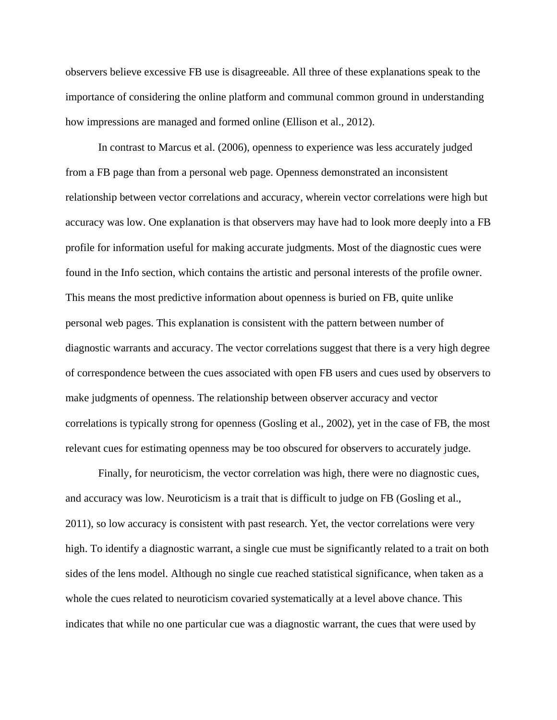observers believe excessive FB use is disagreeable. All three of these explanations speak to the importance of considering the online platform and communal common ground in understanding how impressions are managed and formed online (Ellison et al., 2012).

In contrast to Marcus et al. (2006), openness to experience was less accurately judged from a FB page than from a personal web page. Openness demonstrated an inconsistent relationship between vector correlations and accuracy, wherein vector correlations were high but accuracy was low. One explanation is that observers may have had to look more deeply into a FB profile for information useful for making accurate judgments. Most of the diagnostic cues were found in the Info section, which contains the artistic and personal interests of the profile owner. This means the most predictive information about openness is buried on FB, quite unlike personal web pages. This explanation is consistent with the pattern between number of diagnostic warrants and accuracy. The vector correlations suggest that there is a very high degree of correspondence between the cues associated with open FB users and cues used by observers to make judgments of openness. The relationship between observer accuracy and vector correlations is typically strong for openness (Gosling et al., 2002), yet in the case of FB, the most relevant cues for estimating openness may be too obscured for observers to accurately judge.

Finally, for neuroticism, the vector correlation was high, there were no diagnostic cues, and accuracy was low. Neuroticism is a trait that is difficult to judge on FB (Gosling et al., 2011), so low accuracy is consistent with past research. Yet, the vector correlations were very high. To identify a diagnostic warrant, a single cue must be significantly related to a trait on both sides of the lens model. Although no single cue reached statistical significance, when taken as a whole the cues related to neuroticism covaried systematically at a level above chance. This indicates that while no one particular cue was a diagnostic warrant, the cues that were used by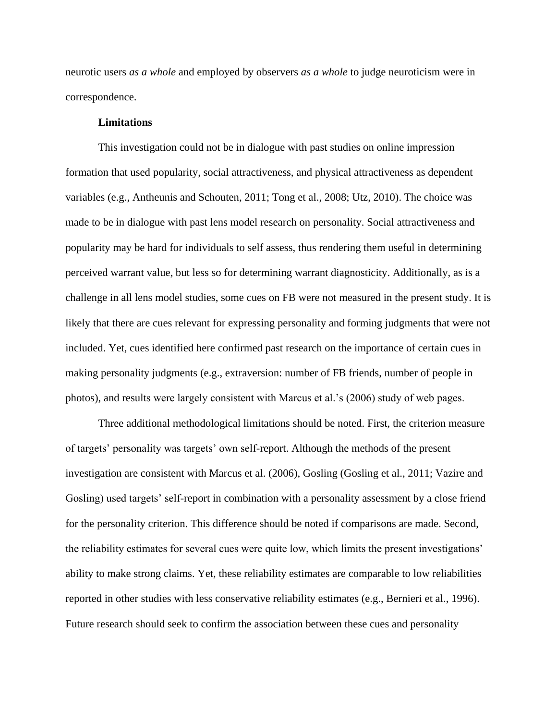neurotic users *as a whole* and employed by observers *as a whole* to judge neuroticism were in correspondence.

# **Limitations**

This investigation could not be in dialogue with past studies on online impression formation that used popularity, social attractiveness, and physical attractiveness as dependent variables (e.g., Antheunis and Schouten, 2011; Tong et al., 2008; Utz, 2010). The choice was made to be in dialogue with past lens model research on personality. Social attractiveness and popularity may be hard for individuals to self assess, thus rendering them useful in determining perceived warrant value, but less so for determining warrant diagnosticity. Additionally, as is a challenge in all lens model studies, some cues on FB were not measured in the present study. It is likely that there are cues relevant for expressing personality and forming judgments that were not included. Yet, cues identified here confirmed past research on the importance of certain cues in making personality judgments (e.g., extraversion: number of FB friends, number of people in photos), and results were largely consistent with Marcus et al.'s (2006) study of web pages.

Three additional methodological limitations should be noted. First, the criterion measure of targets' personality was targets' own self-report. Although the methods of the present investigation are consistent with Marcus et al. (2006), Gosling (Gosling et al., 2011; Vazire and Gosling) used targets' self-report in combination with a personality assessment by a close friend for the personality criterion. This difference should be noted if comparisons are made. Second, the reliability estimates for several cues were quite low, which limits the present investigations' ability to make strong claims. Yet, these reliability estimates are comparable to low reliabilities reported in other studies with less conservative reliability estimates (e.g., Bernieri et al., 1996). Future research should seek to confirm the association between these cues and personality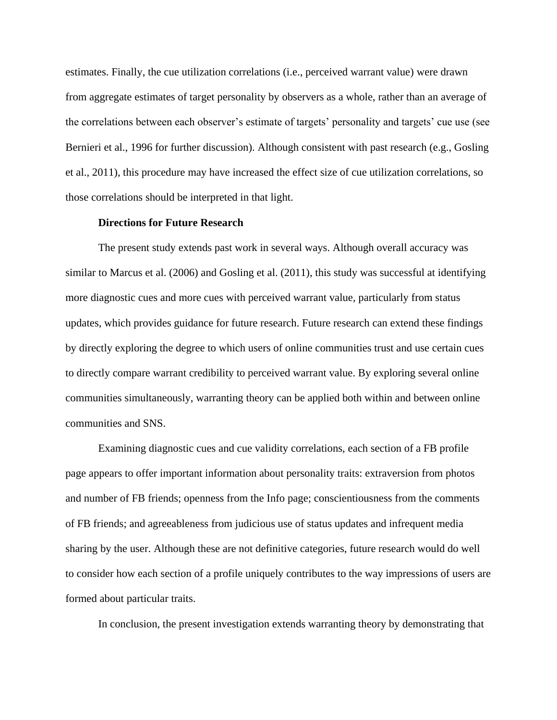estimates. Finally, the cue utilization correlations (i.e., perceived warrant value) were drawn from aggregate estimates of target personality by observers as a whole, rather than an average of the correlations between each observer's estimate of targets' personality and targets' cue use (see Bernieri et al., 1996 for further discussion). Although consistent with past research (e.g., Gosling et al., 2011), this procedure may have increased the effect size of cue utilization correlations, so those correlations should be interpreted in that light.

# **Directions for Future Research**

The present study extends past work in several ways. Although overall accuracy was similar to Marcus et al. (2006) and Gosling et al. (2011), this study was successful at identifying more diagnostic cues and more cues with perceived warrant value, particularly from status updates, which provides guidance for future research. Future research can extend these findings by directly exploring the degree to which users of online communities trust and use certain cues to directly compare warrant credibility to perceived warrant value. By exploring several online communities simultaneously, warranting theory can be applied both within and between online communities and SNS.

Examining diagnostic cues and cue validity correlations, each section of a FB profile page appears to offer important information about personality traits: extraversion from photos and number of FB friends; openness from the Info page; conscientiousness from the comments of FB friends; and agreeableness from judicious use of status updates and infrequent media sharing by the user. Although these are not definitive categories, future research would do well to consider how each section of a profile uniquely contributes to the way impressions of users are formed about particular traits.

In conclusion, the present investigation extends warranting theory by demonstrating that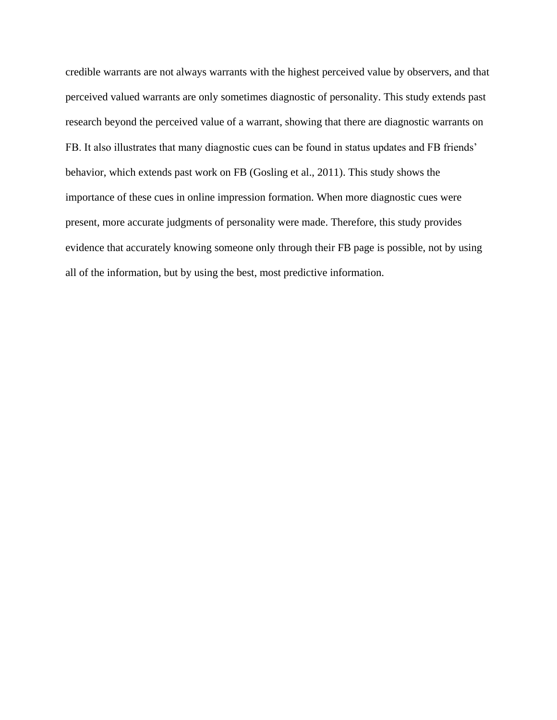credible warrants are not always warrants with the highest perceived value by observers, and that perceived valued warrants are only sometimes diagnostic of personality. This study extends past research beyond the perceived value of a warrant, showing that there are diagnostic warrants on FB. It also illustrates that many diagnostic cues can be found in status updates and FB friends' behavior, which extends past work on FB (Gosling et al., 2011). This study shows the importance of these cues in online impression formation. When more diagnostic cues were present, more accurate judgments of personality were made. Therefore, this study provides evidence that accurately knowing someone only through their FB page is possible, not by using all of the information, but by using the best, most predictive information.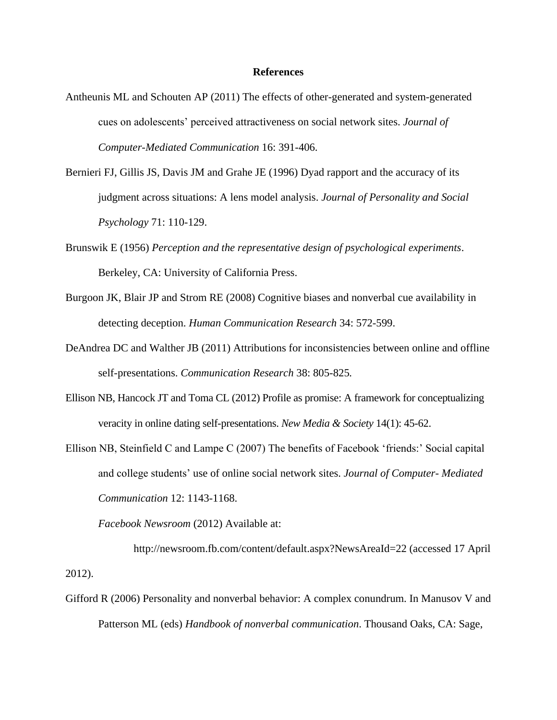### **References**

- Antheunis ML and Schouten AP (2011) The effects of other-generated and system-generated cues on adolescents' perceived attractiveness on social network sites. *Journal of Computer-Mediated Communication* 16: 391-406.
- Bernieri FJ, Gillis JS, Davis JM and Grahe JE (1996) Dyad rapport and the accuracy of its judgment across situations: A lens model analysis. *Journal of Personality and Social Psychology* 71: 110-129.
- Brunswik E (1956) *Perception and the representative design of psychological experiments*. Berkeley, CA: University of California Press.
- Burgoon JK, Blair JP and Strom RE (2008) Cognitive biases and nonverbal cue availability in detecting deception. *Human Communication Research* 34: 572-599.
- DeAndrea DC and Walther JB (2011) Attributions for inconsistencies between online and offline self-presentations. *Communication Research* 38: 805-825*.*
- Ellison NB, Hancock JT and Toma CL (2012) Profile as promise: A framework for conceptualizing veracity in online dating self-presentations. *New Media & Society* 14(1): 45-62.
- Ellison NB, Steinfield C and Lampe C (2007) The benefits of Facebook 'friends:' Social capital and college students' use of online social network sites. *Journal of Computer- Mediated Communication* 12: 1143-1168.

*Facebook Newsroom* (2012) Available at:

http://newsroom.fb.com/content/default.aspx?NewsAreaId=22 (accessed 17 April 2012).

Gifford R (2006) Personality and nonverbal behavior: A complex conundrum. In Manusov V and Patterson ML (eds) *Handbook of nonverbal communication*. Thousand Oaks, CA: Sage,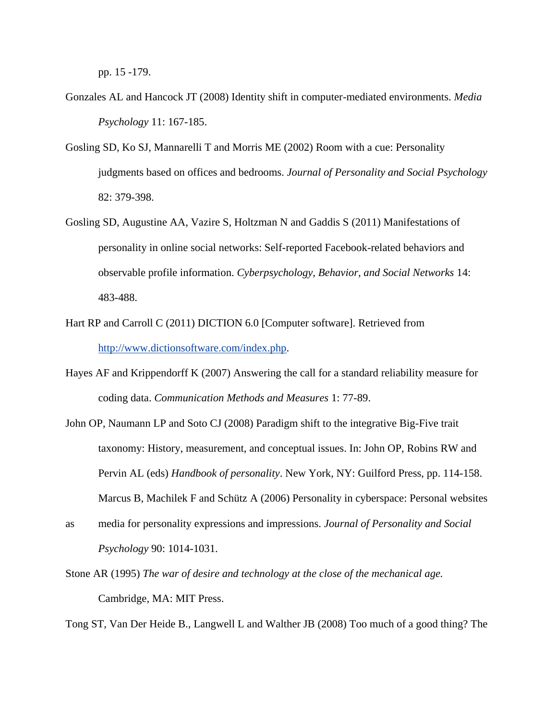pp. 15 -179.

- Gonzales AL and Hancock JT (2008) Identity shift in computer-mediated environments. *Media Psychology* 11: 167-185.
- Gosling SD, Ko SJ, Mannarelli T and Morris ME (2002) Room with a cue: Personality judgments based on offices and bedrooms. *Journal of Personality and Social Psychology*  82: 379-398.
- Gosling SD, Augustine AA, Vazire S, Holtzman N and Gaddis S (2011) Manifestations of personality in online social networks: Self-reported Facebook-related behaviors and observable profile information. *Cyberpsychology, Behavior, and Social Networks* 14: 483-488.
- Hart RP and Carroll C (2011) DICTION 6.0 [Computer software]. Retrieved from [http://www.dictionsoftware.com/index.php.](http://www.dictionsoftware.com/index.php)
- Hayes AF and Krippendorff K (2007) Answering the call for a standard reliability measure for coding data. *Communication Methods and Measures* 1: 77-89.
- John OP, Naumann LP and Soto CJ (2008) Paradigm shift to the integrative Big-Five trait taxonomy: History, measurement, and conceptual issues. In: John OP, Robins RW and Pervin AL (eds) *Handbook of personality*. New York, NY: Guilford Press, pp. 114-158. Marcus B, Machilek F and Schütz A (2006) Personality in cyberspace: Personal websites
- as media for personality expressions and impressions. *Journal of Personality and Social Psychology* 90: 1014-1031.
- Stone AR (1995) *The war of desire and technology at the close of the mechanical age.*  Cambridge, MA: MIT Press.

Tong ST, Van Der Heide B., Langwell L and Walther JB (2008) Too much of a good thing? The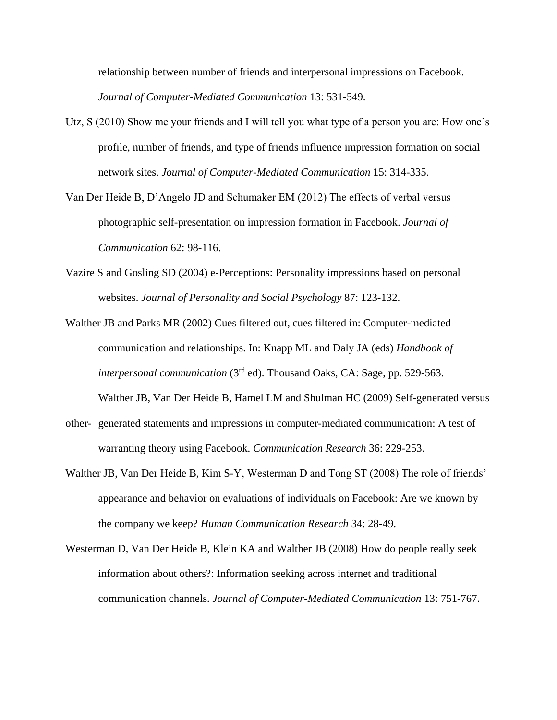relationship between number of friends and interpersonal impressions on Facebook. *Journal of Computer-Mediated Communication* 13: 531-549.

- Utz, S (2010) Show me your friends and I will tell you what type of a person you are: How one's profile, number of friends, and type of friends influence impression formation on social network sites. *Journal of Computer-Mediated Communication* 15: 314-335.
- Van Der Heide B, D'Angelo JD and Schumaker EM (2012) The effects of verbal versus photographic self-presentation on impression formation in Facebook. *Journal of Communication* 62: 98-116.
- Vazire S and Gosling SD (2004) e-Perceptions: Personality impressions based on personal websites. *Journal of Personality and Social Psychology* 87: 123-132.
- Walther JB and Parks MR (2002) Cues filtered out, cues filtered in: Computer-mediated communication and relationships. In: Knapp ML and Daly JA (eds) *Handbook of interpersonal communication* (3rd ed). Thousand Oaks, CA: Sage, pp. 529-563.

Walther JB, Van Der Heide B, Hamel LM and Shulman HC (2009) Self-generated versus

- other- generated statements and impressions in computer-mediated communication: A test of warranting theory using Facebook. *Communication Research* 36: 229-253.
- Walther JB, Van Der Heide B, Kim S-Y, Westerman D and Tong ST (2008) The role of friends' appearance and behavior on evaluations of individuals on Facebook: Are we known by the company we keep? *Human Communication Research* 34: 28-49.
- Westerman D, Van Der Heide B, Klein KA and Walther JB (2008) How do people really seek information about others?: Information seeking across internet and traditional communication channels. *Journal of Computer-Mediated Communication* 13: 751-767.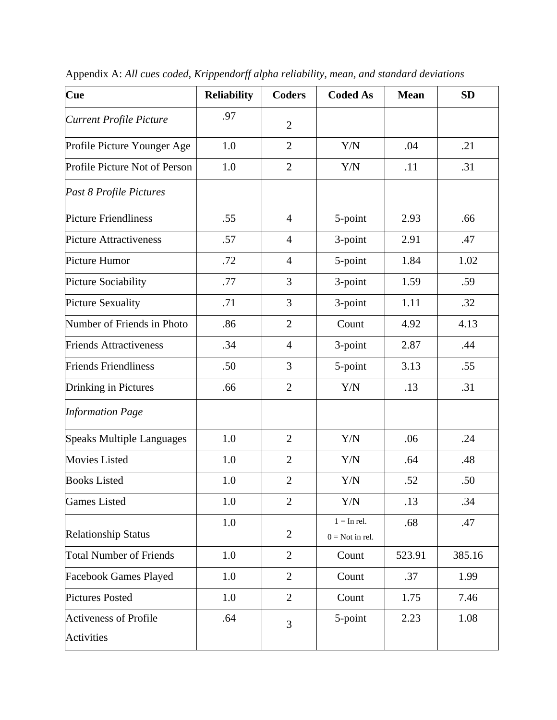| Cue                                               | <b>Reliability</b> | <b>Coders</b>  | <b>Coded As</b>                           | <b>Mean</b> | <b>SD</b> |
|---------------------------------------------------|--------------------|----------------|-------------------------------------------|-------------|-----------|
| <b>Current Profile Picture</b>                    | .97                | $\overline{2}$ |                                           |             |           |
| Profile Picture Younger Age                       | 1.0                | $\overline{2}$ | Y/N                                       | .04         | .21       |
| Profile Picture Not of Person                     | 1.0                | $\overline{2}$ | Y/N                                       | .11         | .31       |
| Past 8 Profile Pictures                           |                    |                |                                           |             |           |
| <b>Picture Friendliness</b>                       | .55                | $\overline{4}$ | 5-point                                   | 2.93        | .66       |
| <b>Picture Attractiveness</b>                     | .57                | $\overline{4}$ | 3-point                                   | 2.91        | .47       |
| Picture Humor                                     | .72                | $\overline{4}$ | 5-point                                   | 1.84        | 1.02      |
| Picture Sociability                               | .77                | 3              | 3-point                                   | 1.59        | .59       |
| <b>Picture Sexuality</b>                          | .71                | 3              | 3-point                                   | 1.11        | .32       |
| Number of Friends in Photo                        | .86                | $\overline{2}$ | Count                                     | 4.92        | 4.13      |
| <b>Friends Attractiveness</b>                     | .34                | $\overline{4}$ | 3-point                                   | 2.87        | .44       |
| <b>Friends Friendliness</b>                       | .50                | 3              | 5-point                                   | 3.13        | .55       |
| Drinking in Pictures                              | .66                | $\overline{2}$ | Y/N                                       | .13         | .31       |
| <b>Information Page</b>                           |                    |                |                                           |             |           |
| <b>Speaks Multiple Languages</b>                  | 1.0                | $\overline{2}$ | Y/N                                       | .06         | .24       |
| <b>Movies Listed</b>                              | 1.0                | $\overline{2}$ | Y/N                                       | .64         | .48       |
| <b>Books Listed</b>                               | 1.0                | $\overline{2}$ | Y/N                                       | .52         | .50       |
| <b>Games</b> Listed                               | 1.0                | $\overline{2}$ | Y/N                                       | .13         | .34       |
| <b>Relationship Status</b>                        | 1.0                | $\overline{2}$ | $1 = \text{In rel.}$<br>$0 = Not$ in rel. | .68         | .47       |
| <b>Total Number of Friends</b>                    | 1.0                | $\overline{2}$ | Count                                     | 523.91      | 385.16    |
| <b>Facebook Games Played</b>                      | 1.0                | $\overline{2}$ | Count                                     | .37         | 1.99      |
| <b>Pictures Posted</b>                            | 1.0                | $\overline{2}$ | Count                                     | 1.75        | 7.46      |
| <b>Activeness of Profile</b><br><b>Activities</b> | .64                | 3              | 5-point                                   | 2.23        | 1.08      |

Appendix A: *All cues coded, Krippendorff alpha reliability, mean, and standard deviations*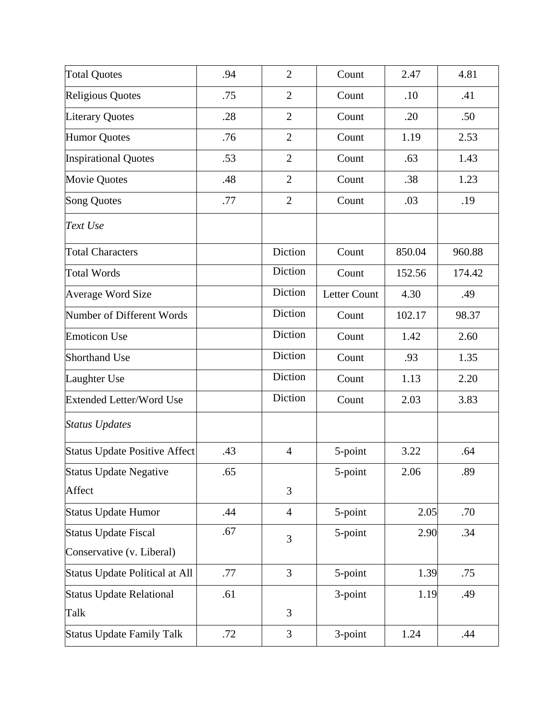| <b>Total Quotes</b>              | .94 | $\overline{2}$ | Count               | 2.47   | 4.81   |
|----------------------------------|-----|----------------|---------------------|--------|--------|
| <b>Religious Quotes</b>          | .75 | $\overline{2}$ | Count               | .10    | .41    |
| <b>Literary Quotes</b>           | .28 | $\overline{2}$ | Count               | .20    | .50    |
| <b>Humor Quotes</b>              | .76 | $\overline{2}$ | Count               | 1.19   | 2.53   |
| <b>Inspirational Quotes</b>      | .53 | $\overline{2}$ | Count               | .63    | 1.43   |
| <b>Movie Quotes</b>              | .48 | $\overline{2}$ | Count               | .38    | 1.23   |
| <b>Song Quotes</b>               | .77 | $\overline{2}$ | Count               | .03    | .19    |
| Text Use                         |     |                |                     |        |        |
| <b>Total Characters</b>          |     | Diction        | Count               | 850.04 | 960.88 |
| <b>Total Words</b>               |     | Diction        | Count               | 152.56 | 174.42 |
| <b>Average Word Size</b>         |     | Diction        | <b>Letter Count</b> | 4.30   | .49    |
| Number of Different Words        |     | Diction        | Count               | 102.17 | 98.37  |
| <b>Emoticon Use</b>              |     | Diction        | Count               | 1.42   | 2.60   |
| <b>Shorthand Use</b>             |     | Diction        | Count               | .93    | 1.35   |
| Laughter Use                     |     | Diction        | Count               | 1.13   | 2.20   |
| <b>Extended Letter/Word Use</b>  |     | Diction        | Count               | 2.03   | 3.83   |
| <b>Status Updates</b>            |     |                |                     |        |        |
| Status Update Positive Affect    | .43 | $\overline{4}$ | 5-point             | 3.22   | .64    |
| Status Update Negative           | .65 |                | 5-point             | 2.06   | .89    |
| Affect                           |     | 3              |                     |        |        |
| <b>Status Update Humor</b>       | .44 | $\overline{4}$ | 5-point             | 2.05   | .70    |
| <b>Status Update Fiscal</b>      | .67 | 3              | 5-point             | 2.90   | .34    |
| Conservative (v. Liberal)        |     |                |                     |        |        |
| Status Update Political at All   | .77 | $\overline{3}$ | 5-point             | 1.39   | .75    |
| <b>Status Update Relational</b>  | .61 |                | 3-point             | 1.19   | .49    |
| Talk                             |     | 3              |                     |        |        |
| <b>Status Update Family Talk</b> | .72 | 3              | 3-point             | 1.24   | .44    |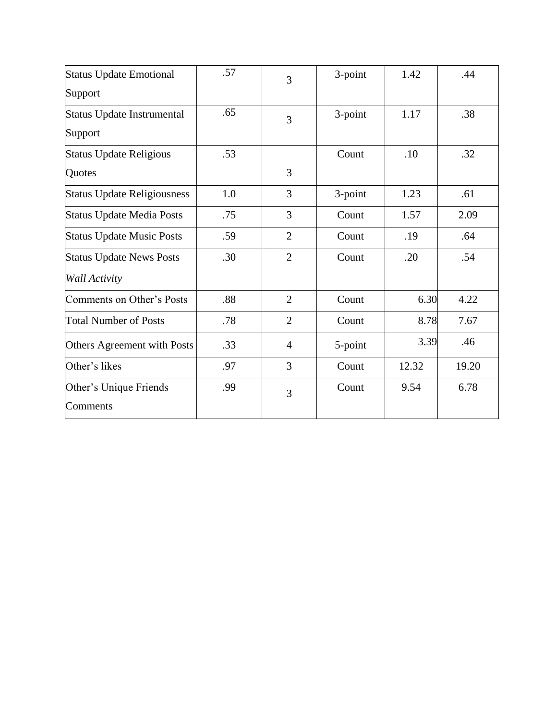| <b>Status Update Emotional</b><br>Support | .57 | 3              | 3-point | 1.42  | .44   |
|-------------------------------------------|-----|----------------|---------|-------|-------|
| Status Update Instrumental<br>Support     | .65 | 3              | 3-point | 1.17  | .38   |
| <b>Status Update Religious</b><br>Quotes  | .53 | 3              | Count   | .10   | .32   |
| <b>Status Update Religiousness</b>        | 1.0 | 3              | 3-point | 1.23  | .61   |
| <b>Status Update Media Posts</b>          | .75 | 3              | Count   | 1.57  | 2.09  |
| <b>Status Update Music Posts</b>          | .59 | $\overline{2}$ | Count   | .19   | .64   |
| <b>Status Update News Posts</b>           | .30 | $\overline{2}$ | Count   | .20   | .54   |
| <b>Wall Activity</b>                      |     |                |         |       |       |
| Comments on Other's Posts                 | .88 | $\overline{2}$ | Count   | 6.30  | 4.22  |
| <b>Total Number of Posts</b>              | .78 | $\overline{2}$ | Count   | 8.78  | 7.67  |
| Others Agreement with Posts               | .33 | $\overline{4}$ | 5-point | 3.39  | .46   |
| Other's likes                             | .97 | 3              | Count   | 12.32 | 19.20 |
| Other's Unique Friends<br>Comments        | .99 | 3              | Count   | 9.54  | 6.78  |